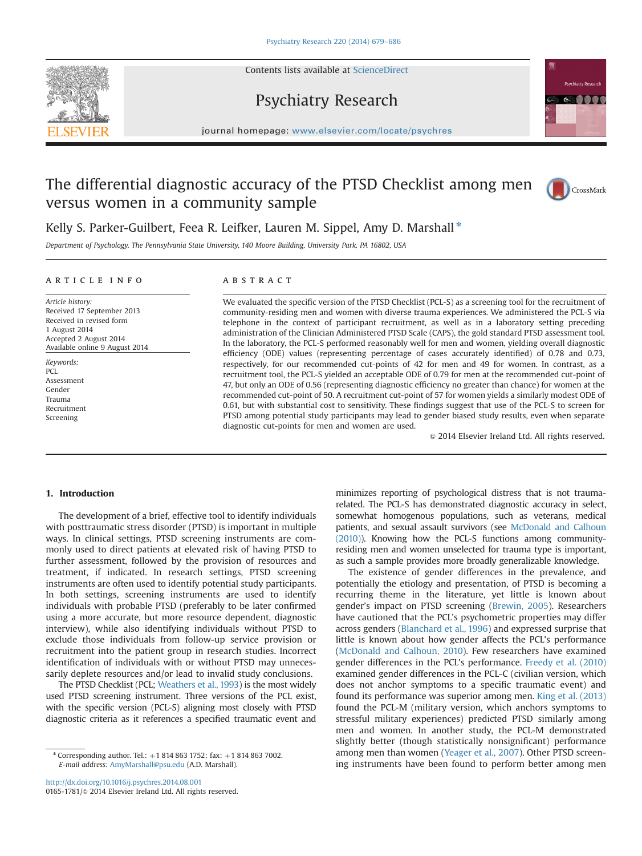Contents lists available at [ScienceDirect](www.sciencedirect.com/science/journal/01651781)







## journal homepage: <www.elsevier.com/locate/psychres>

# The differential diagnostic accuracy of the PTSD Checklist among men versus women in a community sample



## Kelly S. Parker-Guilbert, Feea R. Leifker, Lauren M. Sippel, Amy D. Marshall \*

Department of Psychology, The Pennsylvania State University, 140 Moore Building, University Park, PA 16802, USA

#### article info

Article history: Received 17 September 2013 Received in revised form 1 August 2014 Accepted 2 August 2014 Available online 9 August 2014

Keywords: PCL Assessment Gender Trauma Recruitment Screening

### ABSTRACT

We evaluated the specific version of the PTSD Checklist (PCL-S) as a screening tool for the recruitment of community-residing men and women with diverse trauma experiences. We administered the PCL-S via telephone in the context of participant recruitment, as well as in a laboratory setting preceding administration of the Clinician Administered PTSD Scale (CAPS), the gold standard PTSD assessment tool. In the laboratory, the PCL-S performed reasonably well for men and women, yielding overall diagnostic efficiency (ODE) values (representing percentage of cases accurately identified) of 0.78 and 0.73, respectively, for our recommended cut-points of 42 for men and 49 for women. In contrast, as a recruitment tool, the PCL-S yielded an acceptable ODE of 0.79 for men at the recommended cut-point of 47, but only an ODE of 0.56 (representing diagnostic efficiency no greater than chance) for women at the recommended cut-point of 50. A recruitment cut-point of 57 for women yields a similarly modest ODE of 0.61, but with substantial cost to sensitivity. These findings suggest that use of the PCL-S to screen for PTSD among potential study participants may lead to gender biased study results, even when separate diagnostic cut-points for men and women are used.

 $©$  2014 Elsevier Ireland Ltd. All rights reserved.

#### 1. Introduction

The development of a brief, effective tool to identify individuals with posttraumatic stress disorder (PTSD) is important in multiple ways. In clinical settings, PTSD screening instruments are commonly used to direct patients at elevated risk of having PTSD to further assessment, followed by the provision of resources and treatment, if indicated. In research settings, PTSD screening instruments are often used to identify potential study participants. In both settings, screening instruments are used to identify individuals with probable PTSD (preferably to be later confirmed using a more accurate, but more resource dependent, diagnostic interview), while also identifying individuals without PTSD to exclude those individuals from follow-up service provision or recruitment into the patient group in research studies. Incorrect identification of individuals with or without PTSD may unnecessarily deplete resources and/or lead to invalid study conclusions.

The PTSD Checklist (PCL; Weathers et al., 1993) is the most widely used PTSD screening instrument. Three versions of the PCL exist, with the specific version (PCL-S) aligning most closely with PTSD diagnostic criteria as it references a specified traumatic event and

\* Corresponding author. Tel.:  $+18148631752$ ; fax:  $+18148637002$ . E-mail address: [AmyMarshall@psu.edu](mailto:AmyMarshall@psu.edu) (A.D. Marshall).

<http://dx.doi.org/10.1016/j.psychres.2014.08.001> 0165-1781/© 2014 Elsevier Ireland Ltd. All rights reserved. minimizes reporting of psychological distress that is not traumarelated. The PCL-S has demonstrated diagnostic accuracy in select, somewhat homogenous populations, such as veterans, medical patients, and sexual assault survivors (see McDonald and Calhoun (2010)). Knowing how the PCL-S functions among communityresiding men and women unselected for trauma type is important, as such a sample provides more broadly generalizable knowledge.

The existence of gender differences in the prevalence, and potentially the etiology and presentation, of PTSD is becoming a recurring theme in the literature, yet little is known about gender's impact on PTSD screening (Brewin, 2005). Researchers have cautioned that the PCL's psychometric properties may differ across genders (Blanchard et al., 1996) and expressed surprise that little is known about how gender affects the PCL's performance (McDonald and Calhoun, 2010). Few researchers have examined gender differences in the PCL's performance. Freedy et al. (2010) examined gender differences in the PCL-C (civilian version, which does not anchor symptoms to a specific traumatic event) and found its performance was superior among men. King et al. (2013) found the PCL-M (military version, which anchors symptoms to stressful military experiences) predicted PTSD similarly among men and women. In another study, the PCL-M demonstrated slightly better (though statistically nonsignificant) performance among men than women (Yeager et al., 2007). Other PTSD screening instruments have been found to perform better among men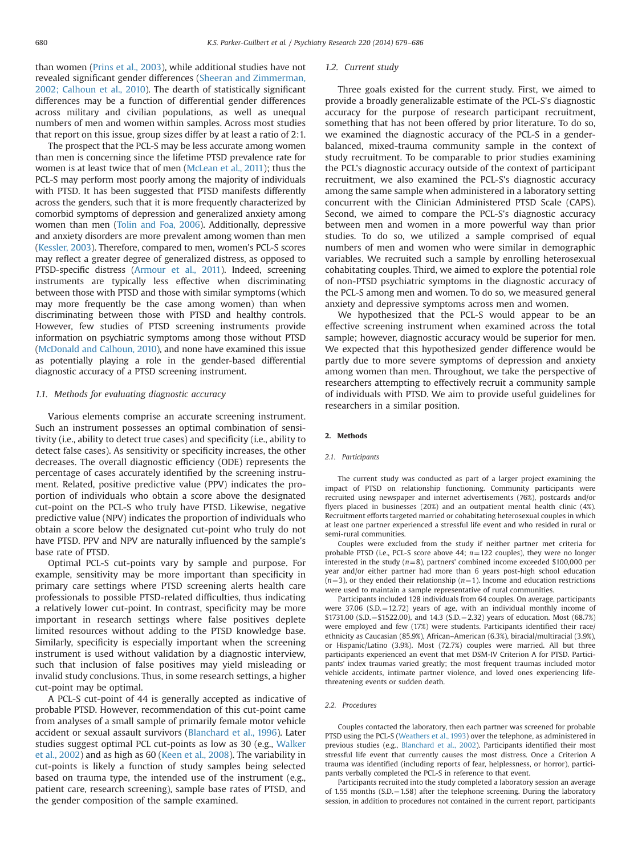than women (Prins et al., 2003), while additional studies have not revealed significant gender differences (Sheeran and Zimmerman, 2002; Calhoun et al., 2010). The dearth of statistically significant differences may be a function of differential gender differences across military and civilian populations, as well as unequal numbers of men and women within samples. Across most studies that report on this issue, group sizes differ by at least a ratio of 2:1.

The prospect that the PCL-S may be less accurate among women than men is concerning since the lifetime PTSD prevalence rate for women is at least twice that of men (McLean et al., 2011); thus the PCL-S may perform most poorly among the majority of individuals with PTSD. It has been suggested that PTSD manifests differently across the genders, such that it is more frequently characterized by comorbid symptoms of depression and generalized anxiety among women than men (Tolin and Foa, 2006). Additionally, depressive and anxiety disorders are more prevalent among women than men (Kessler, 2003). Therefore, compared to men, women's PCL-S scores may reflect a greater degree of generalized distress, as opposed to PTSD-specific distress (Armour et al., 2011). Indeed, screening instruments are typically less effective when discriminating between those with PTSD and those with similar symptoms (which may more frequently be the case among women) than when discriminating between those with PTSD and healthy controls. However, few studies of PTSD screening instruments provide information on psychiatric symptoms among those without PTSD (McDonald and Calhoun, 2010), and none have examined this issue as potentially playing a role in the gender-based differential diagnostic accuracy of a PTSD screening instrument.

#### 1.1. Methods for evaluating diagnostic accuracy

Various elements comprise an accurate screening instrument. Such an instrument possesses an optimal combination of sensitivity (i.e., ability to detect true cases) and specificity (i.e., ability to detect false cases). As sensitivity or specificity increases, the other decreases. The overall diagnostic efficiency (ODE) represents the percentage of cases accurately identified by the screening instrument. Related, positive predictive value (PPV) indicates the proportion of individuals who obtain a score above the designated cut-point on the PCL-S who truly have PTSD. Likewise, negative predictive value (NPV) indicates the proportion of individuals who obtain a score below the designated cut-point who truly do not have PTSD. PPV and NPV are naturally influenced by the sample's base rate of PTSD.

Optimal PCL-S cut-points vary by sample and purpose. For example, sensitivity may be more important than specificity in primary care settings where PTSD screening alerts health care professionals to possible PTSD-related difficulties, thus indicating a relatively lower cut-point. In contrast, specificity may be more important in research settings where false positives deplete limited resources without adding to the PTSD knowledge base. Similarly, specificity is especially important when the screening instrument is used without validation by a diagnostic interview, such that inclusion of false positives may yield misleading or invalid study conclusions. Thus, in some research settings, a higher cut-point may be optimal.

A PCL-S cut-point of 44 is generally accepted as indicative of probable PTSD. However, recommendation of this cut-point came from analyses of a small sample of primarily female motor vehicle accident or sexual assault survivors (Blanchard et al., 1996). Later studies suggest optimal PCL cut-points as low as 30 (e.g., Walker et al., 2002) and as high as 60 (Keen et al., 2008). The variability in cut-points is likely a function of study samples being selected based on trauma type, the intended use of the instrument (e.g., patient care, research screening), sample base rates of PTSD, and the gender composition of the sample examined.

#### 1.2. Current study

Three goals existed for the current study. First, we aimed to provide a broadly generalizable estimate of the PCL-S's diagnostic accuracy for the purpose of research participant recruitment, something that has not been offered by prior literature. To do so, we examined the diagnostic accuracy of the PCL-S in a genderbalanced, mixed-trauma community sample in the context of study recruitment. To be comparable to prior studies examining the PCL's diagnostic accuracy outside of the context of participant recruitment, we also examined the PCL-S's diagnostic accuracy among the same sample when administered in a laboratory setting concurrent with the Clinician Administered PTSD Scale (CAPS). Second, we aimed to compare the PCL-S's diagnostic accuracy between men and women in a more powerful way than prior studies. To do so, we utilized a sample comprised of equal numbers of men and women who were similar in demographic variables. We recruited such a sample by enrolling heterosexual cohabitating couples. Third, we aimed to explore the potential role of non-PTSD psychiatric symptoms in the diagnostic accuracy of the PCL-S among men and women. To do so, we measured general anxiety and depressive symptoms across men and women.

We hypothesized that the PCL-S would appear to be an effective screening instrument when examined across the total sample; however, diagnostic accuracy would be superior for men. We expected that this hypothesized gender difference would be partly due to more severe symptoms of depression and anxiety among women than men. Throughout, we take the perspective of researchers attempting to effectively recruit a community sample of individuals with PTSD. We aim to provide useful guidelines for researchers in a similar position.

#### 2. Methods

#### 2.1. Participants

The current study was conducted as part of a larger project examining the impact of PTSD on relationship functioning. Community participants were recruited using newspaper and internet advertisements (76%), postcards and/or flyers placed in businesses (20%) and an outpatient mental health clinic (4%). Recruitment efforts targeted married or cohabitating heterosexual couples in which at least one partner experienced a stressful life event and who resided in rural or semi-rural communities.

Couples were excluded from the study if neither partner met criteria for probable PTSD (i.e., PCL-S score above 44;  $n=122$  couples), they were no longer interested in the study ( $n=8$ ), partners' combined income exceeded \$100,000 per year and/or either partner had more than 6 years post-high school education  $(n=3)$ , or they ended their relationship  $(n=1)$ . Income and education restrictions were used to maintain a sample representative of rural communities.

Participants included 128 individuals from 64 couples. On average, participants were  $37.06$  (S.D. $= 12.72$ ) years of age, with an individual monthly income of \$1731.00 (S.D. = \$1522.00), and 14.3 (S.D. = 2.32) years of education. Most (68.7%) were employed and few (17%) were students. Participants identified their race/ ethnicity as Caucasian (85.9%), African–American (6.3%), biracial/multiracial (3.9%), or Hispanic/Latino (3.9%). Most (72.7%) couples were married. All but three participants experienced an event that met DSM-IV Criterion A for PTSD. Participants' index traumas varied greatly; the most frequent traumas included motor vehicle accidents, intimate partner violence, and loved ones experiencing lifethreatening events or sudden death.

#### 2.2. Procedures

Couples contacted the laboratory, then each partner was screened for probable PTSD using the PCL-S (Weathers et al., 1993) over the telephone, as administered in previous studies (e.g., Blanchard et al., 2002). Participants identified their most stressful life event that currently causes the most distress. Once a Criterion A trauma was identified (including reports of fear, helplessness, or horror), participants verbally completed the PCL-S in reference to that event.

Participants recruited into the study completed a laboratory session an average of 1.55 months  $(S.D. = 1.58)$  after the telephone screening. During the laboratory session, in addition to procedures not contained in the current report, participants